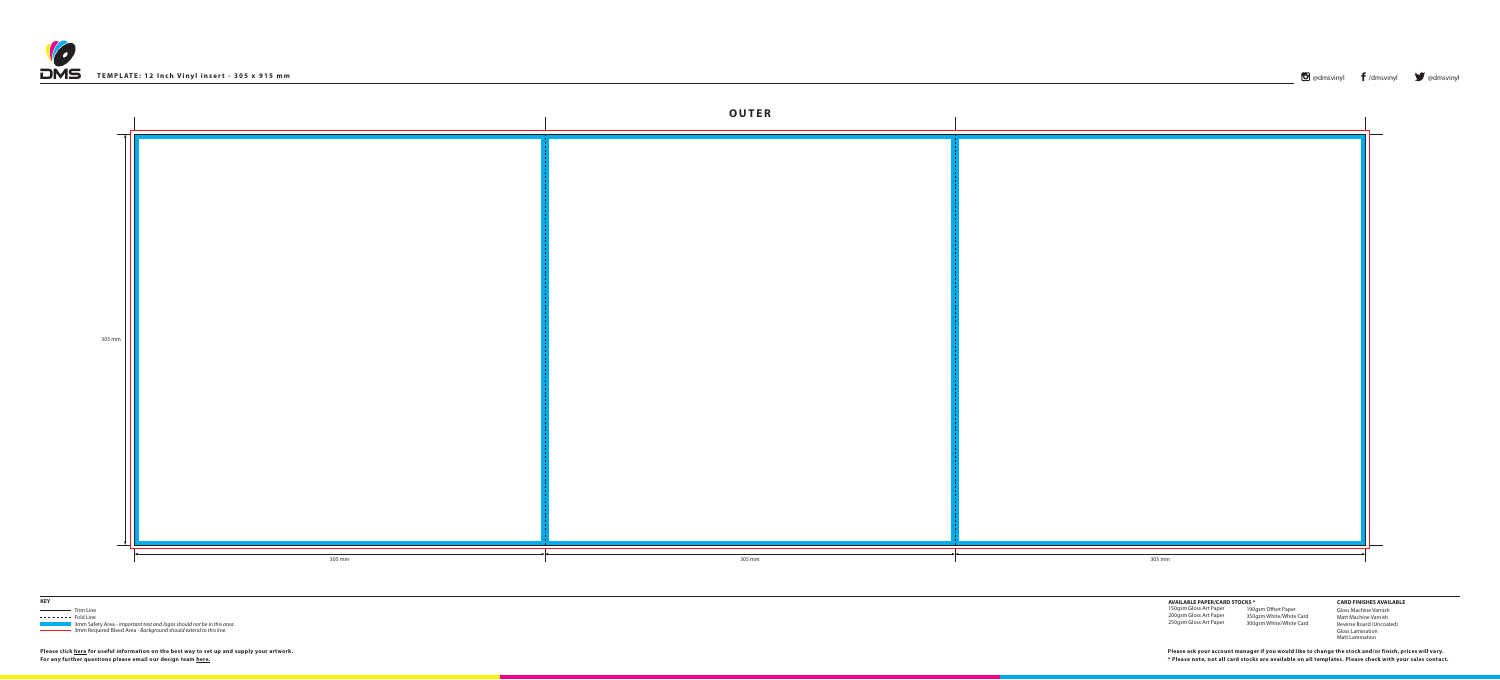





**3mm Safety Area -** *Important text and logos should not be in this area***.** 3mm Required Bleed Area - *Background should extend to this line.*

**Please click [here](http://www.discmanufacturingservices.com/vinyl/templates#artwork-specifications) for useful information on the best way to set up and supply your artwork.**

**For any further questions please email our design team [here](mailto:graphics%40discmanufacturingservices.com?subject=Template%20Enquiry). \* Please note, not all card stocks are available on all templates. Please check with your sales contact. Please ask your account manager if you would like to change the stock and/or finish, prices will vary.**

**AVAILABLE PAPER/CARD STOCKS \*** 150gsm Gloss Art Paper 200gsm Gloss Art Paper 250gsm Gloss Art Paper

## **CARD FINISHES AVAILABLE**

Gloss Machine Varnish Matt Machine Varnish Reverse Board (Uncoated) Gloss Lamination Matt Lamination

190gsm Offset Paper 350gsm White/White Card 300gsm White/White Card